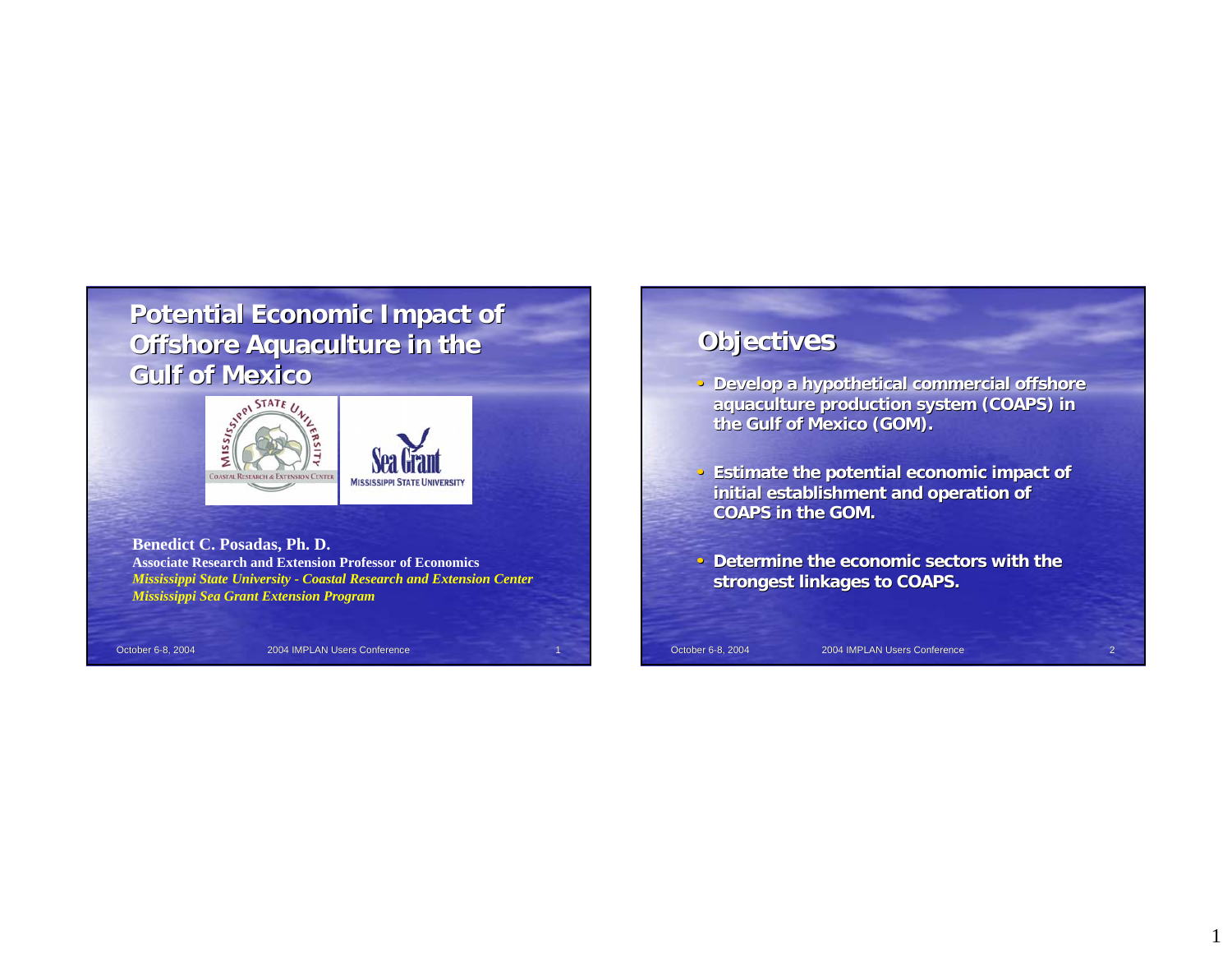# **Potential Economic Impact of Offshore Aquaculture in the Gulf of Mexico Gulf of Mexico**



**Benedict C. Posadas, Ph. D. Associate Research and Extension Professor of Economics***Mississippi State University - Coastal Research and Extension Center Mississippi Sea Grant Extension Program*

October 6-8, 2004 12004 IMPLAN Users Conference

# **Objectives**

- Develop a hypothetical commercial offshore **aquaculture production system (COAPS) in aquaculture system (COAPS) in the Gulf of Mexico (GOM). the Gulf Mexico (GOM).**
- **Estimate the potential economic impact of initial establishment and operation of COAPS in the GOM. COAPS GOM.**
- Determine the economic sectors with the **strongest linkages to COAPS. strongest linkages to COAPS.**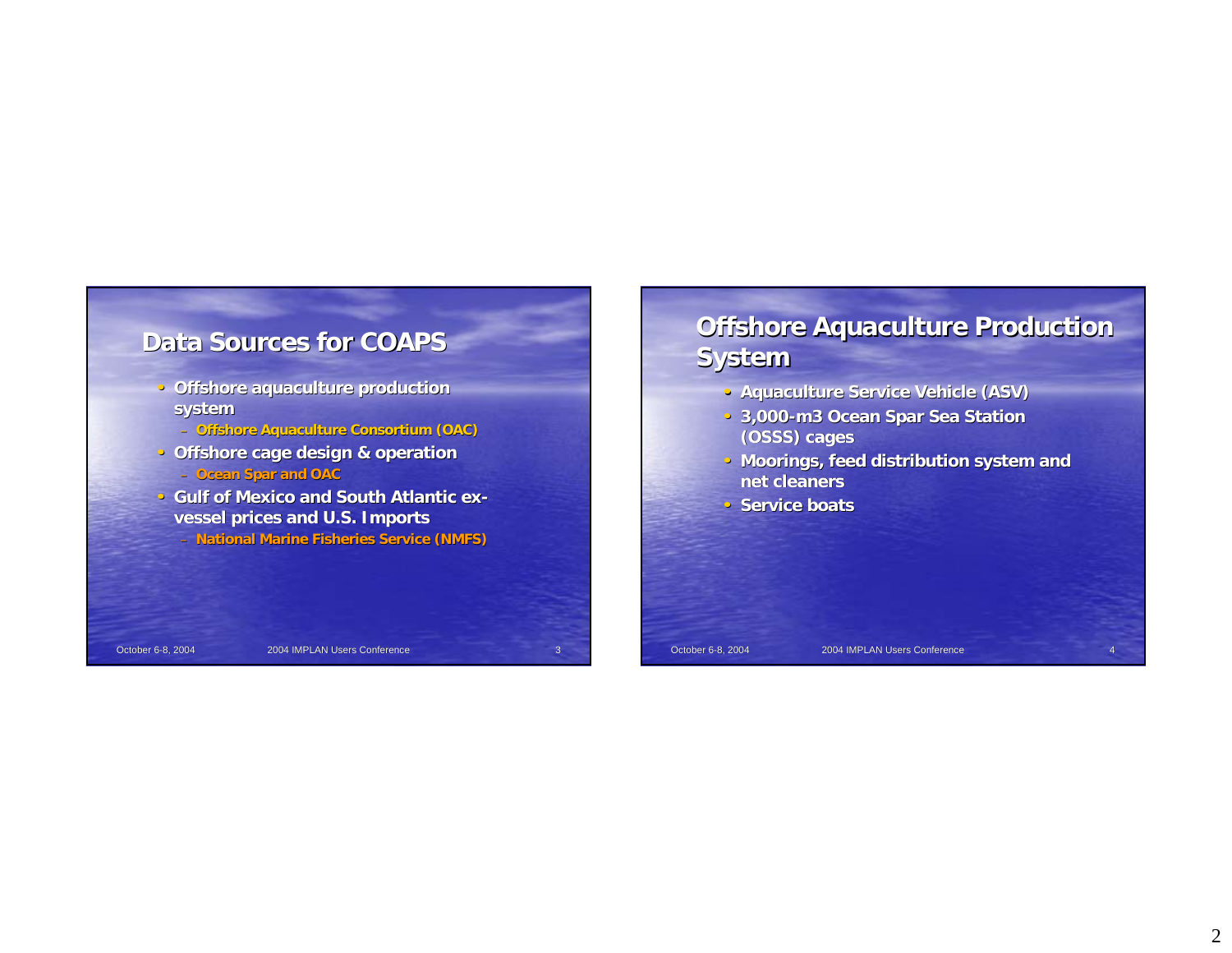

- **Offshore aquaculture production system**
	- **Offshore Aquaculture Consortium (OAC)**
- **Offshore cage design & operation**
	- **Ocean Spar and OAC**
- **Gulf of Mexico and South Atlantic exvessel prices and U.S. Imports**
	- **National Marine Fisheries Service (NMFS)**

# **Offshore Aquaculture Production System**

- **Aquaculture Service Vehicle (ASV)**
- **3,000-m3 Ocean Spar Sea Station (OSSS) cages**
- Moorings, feed distribution system and **net cleaners**
- **Service boats**

October 6-8, 2004 2004 IMPLAN Users Conference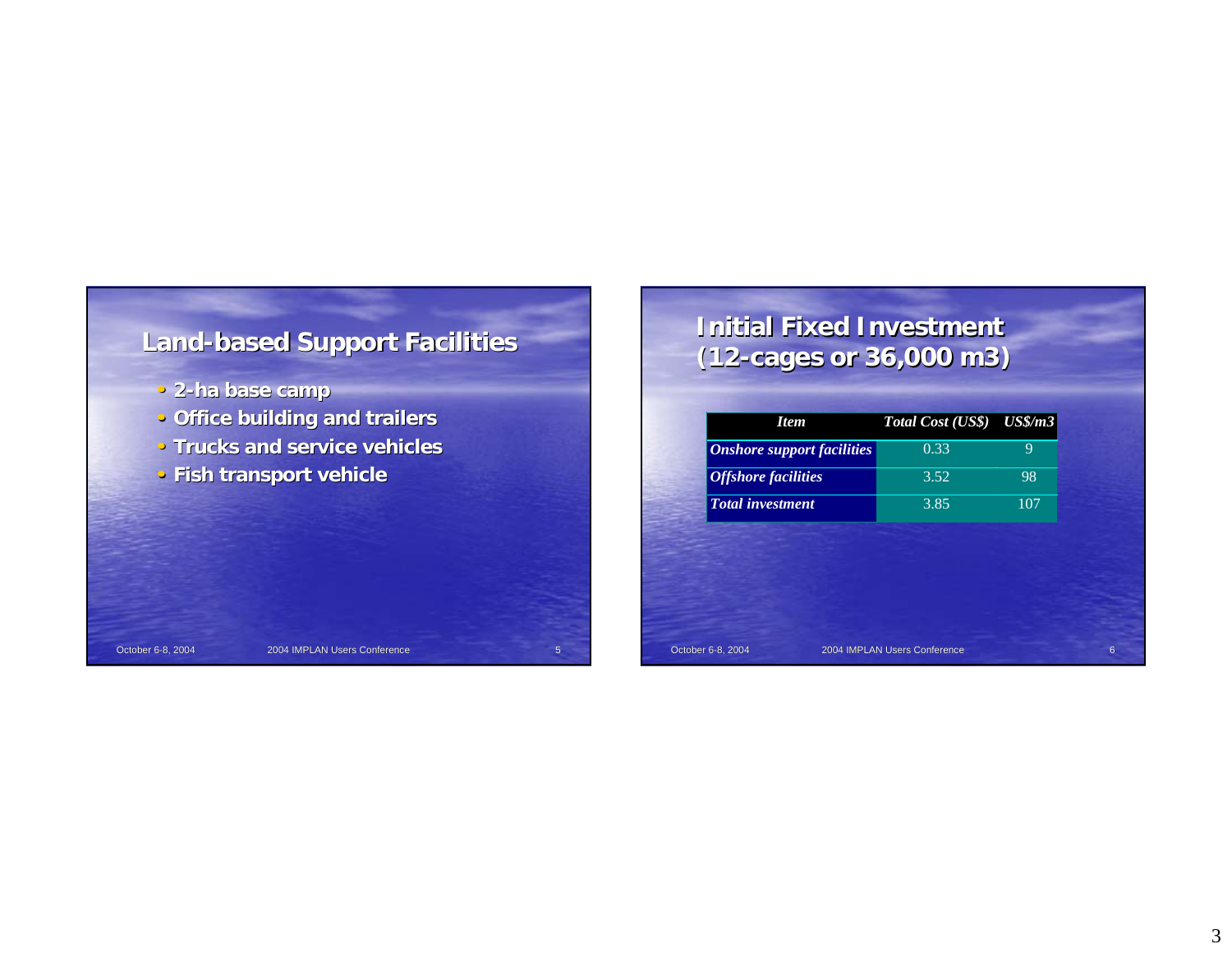

# **Initial Fixed Investment (12-cages or 36,000 m3) cages 36,000 m3)**

| <b>Item</b>                       | Total Cost (US\$) US\$/m3 |     |
|-----------------------------------|---------------------------|-----|
| <b>Onshore support facilities</b> | 0.33                      | 9   |
| <b>Offshore facilities</b>        | 3.52                      | 98  |
| <b>Total investment</b>           | 3.85                      | 107 |
|                                   |                           |     |
|                                   |                           |     |
|                                   |                           |     |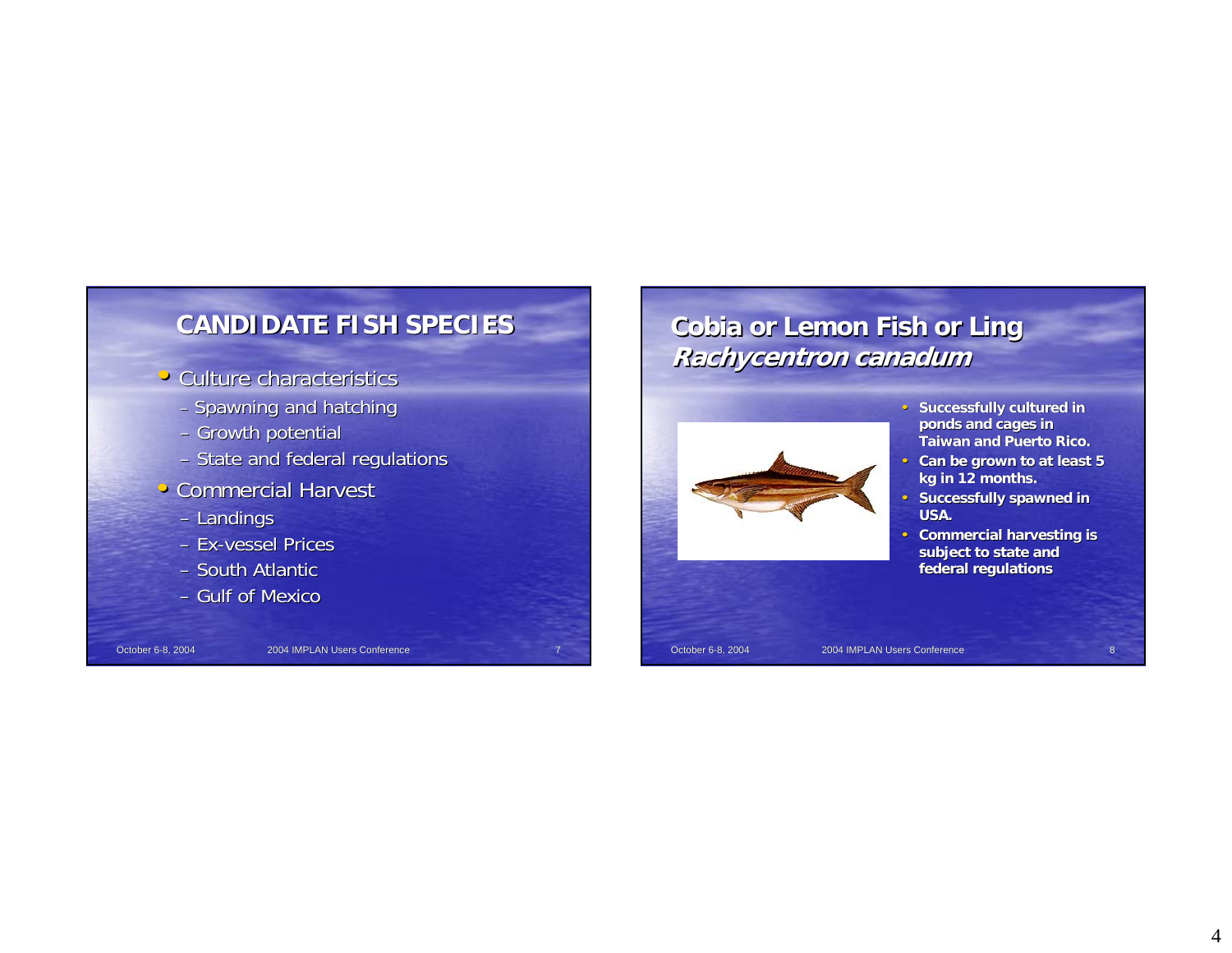

### • Culture characteristics

- Spawning and hatching
- Growth potential
- State and federal regulations
- Commercial Harvest
	- Landings
	- Ex-vessel Prices
	- South Atlantic
	- Gulf of Mexico

October 6-8, 2004 **2004 IMPLAN Users Conference** 

# **Cobia or Lemon Fish or Ling Cobia or Lemon Fish or Ling Rachycentron Rachycentron canadum**



- Successfully cultured in **ponds and cages in Taiwan and Puerto Rico. Taiwan and Puerto Rico.**
- Can be grown to at least 5 **kg in 12 months. kg in 12 months.**
- **Successfully spawned in USA.**
- **Commercial harvesting is** subject to state and **federal regulations**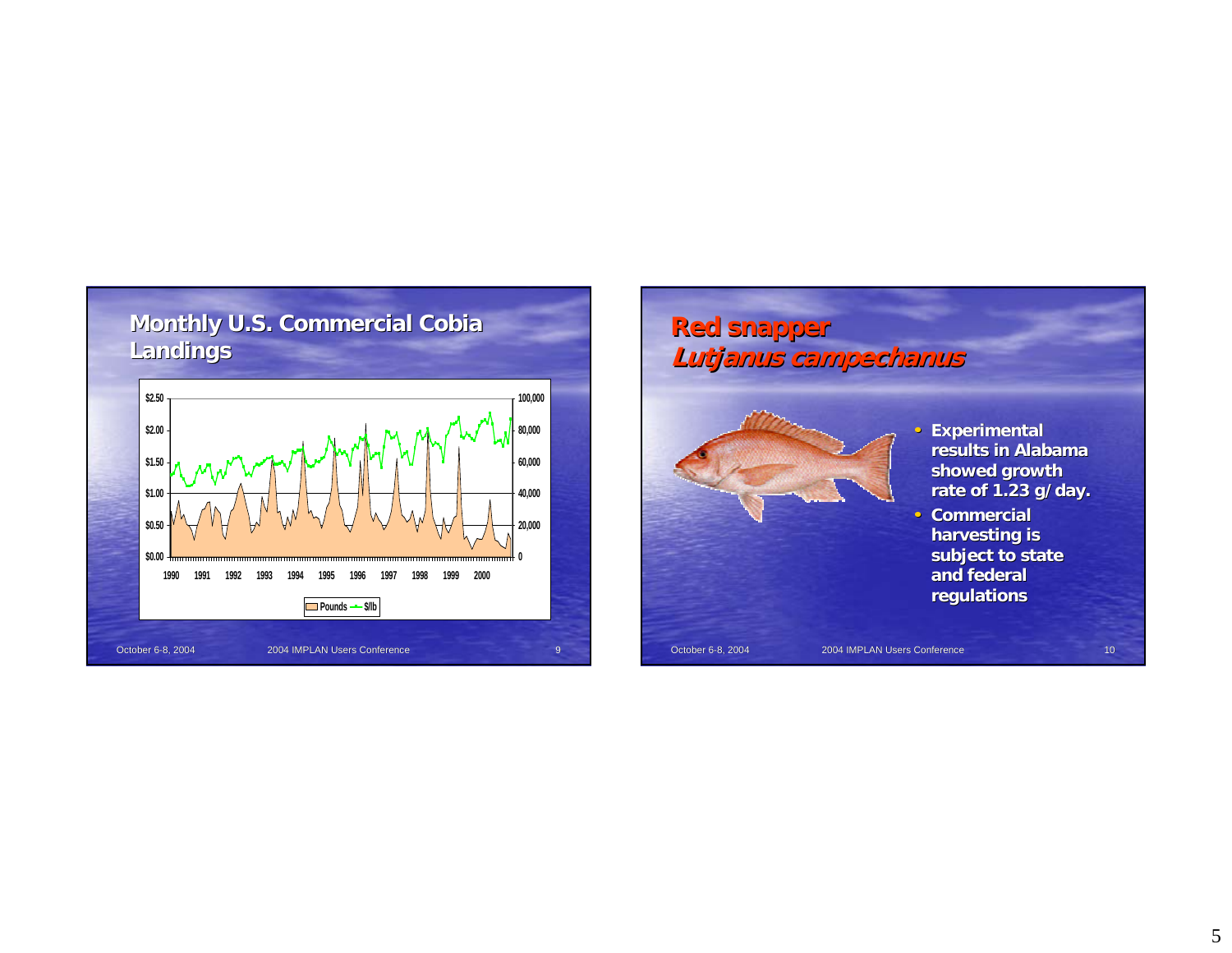

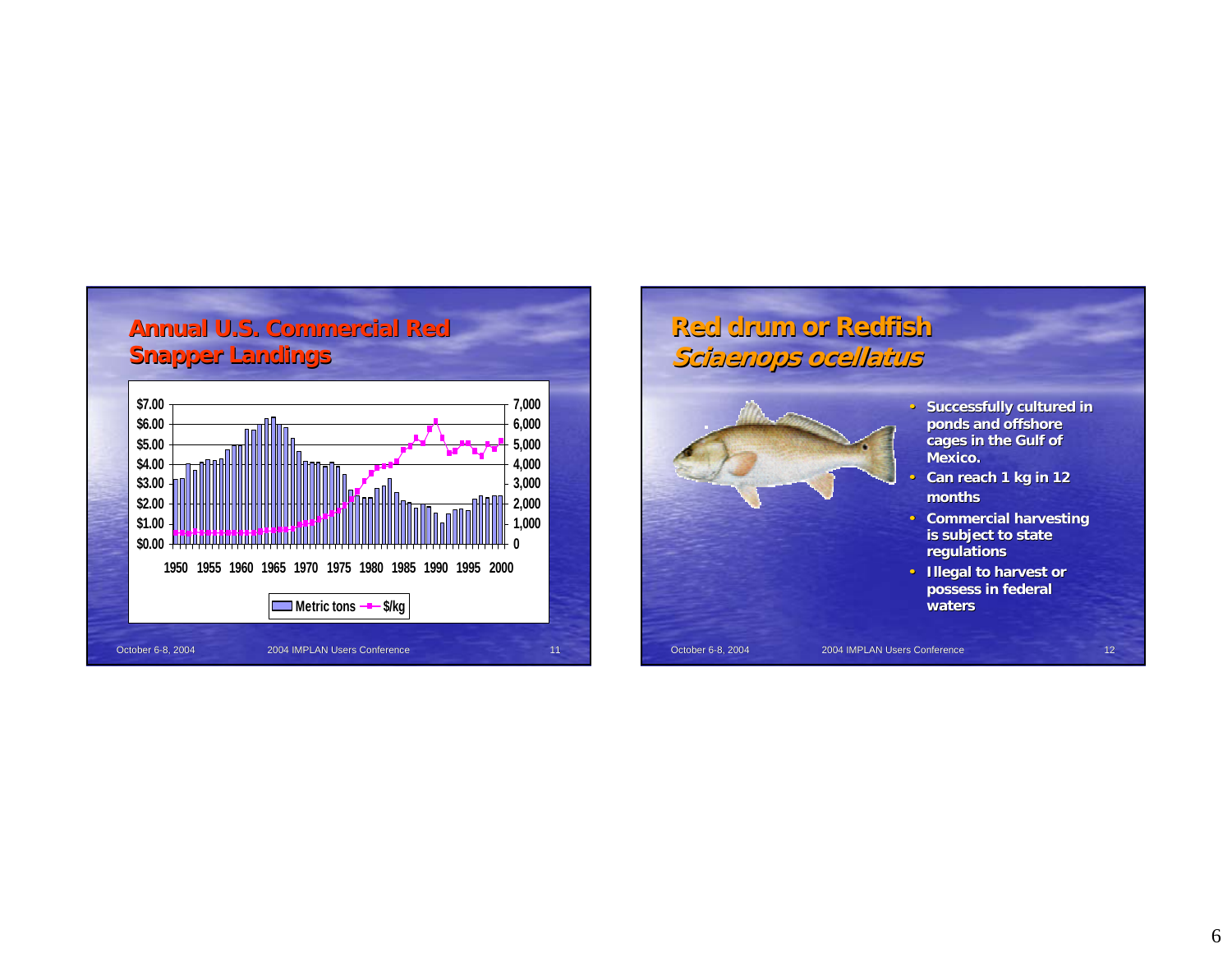

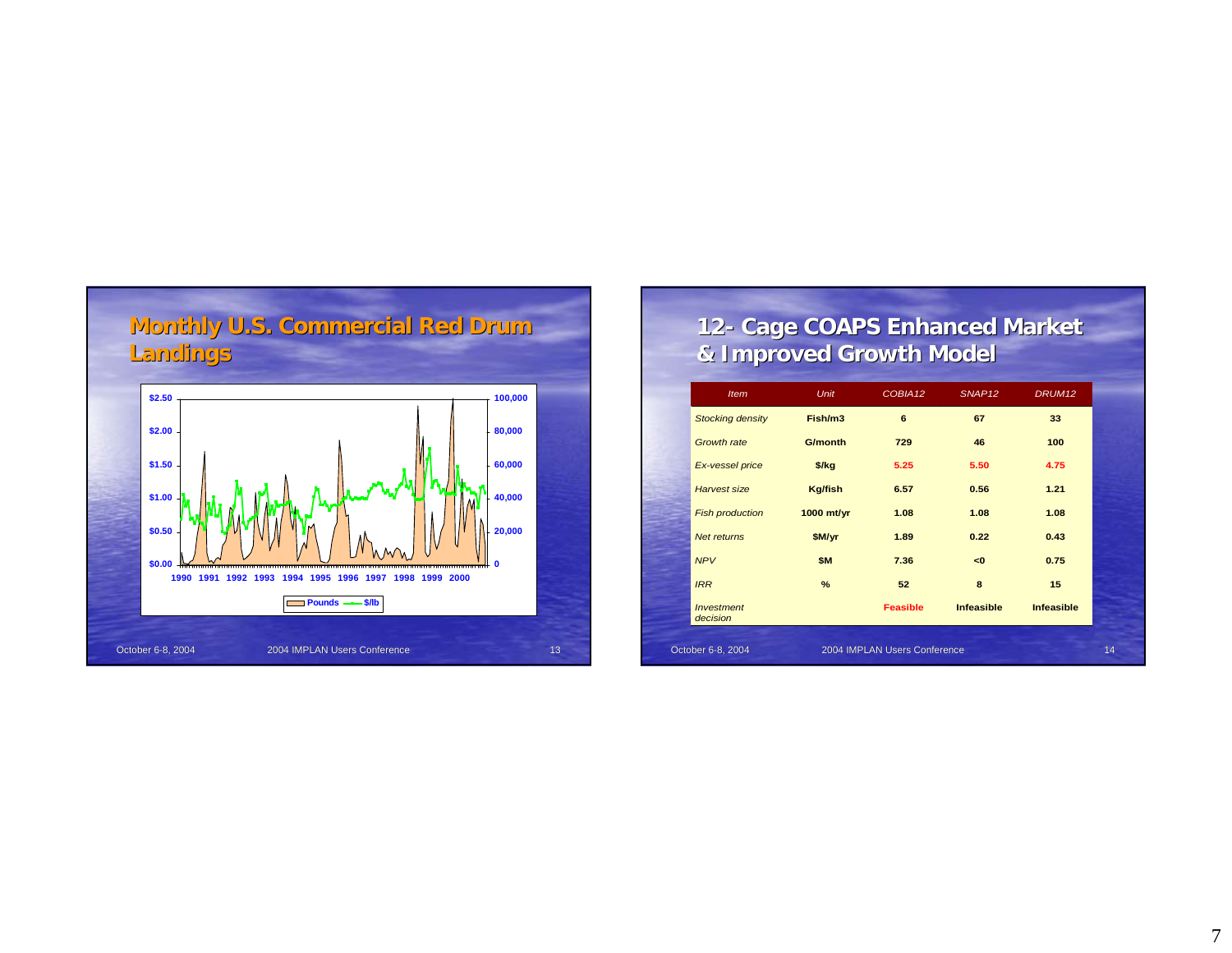

## **12- Cage COAPS Enhanced Market Cage COAPS Enhanced Market & Improved Growth Model & Improved Growth Model**

| <b>Item</b>                          | <b>Unit</b>    | COBIA12                      | SNAP <sub>12</sub> | DRUM <sub>12</sub> |    |
|--------------------------------------|----------------|------------------------------|--------------------|--------------------|----|
| <b>Stocking density</b>              | Fish/m3        | 6                            | 67                 | 33                 |    |
| <b>Growth rate</b>                   | <b>G/month</b> | 729                          | 46                 | 100                |    |
| Ex-vessel price                      | $$$ /kg        | 5.25                         | 5.50               | 4.75               |    |
| <b>Harvest size</b>                  | <b>Kg/fish</b> | 6.57                         | 0.56               | 1.21               |    |
| <b>Fish production</b>               | 1000 mt/yr     | 1.08                         | 1.08               | 1.08               |    |
| Net returns                          | \$M/yr         | 1.89                         | 0.22               | 0.43               |    |
| <b>NPV</b>                           | \$M            | 7.36                         | <0                 | 0.75               |    |
| <b>IRR</b>                           | $\%$           | 52                           | 8                  | 15                 |    |
| <i><b>Investment</b></i><br>decision |                | <b>Feasible</b>              | <b>Infeasible</b>  | <b>Infeasible</b>  |    |
|                                      |                |                              |                    |                    |    |
| October 6-8, 2004                    |                | 2004 IMPLAN Users Conference |                    |                    | 14 |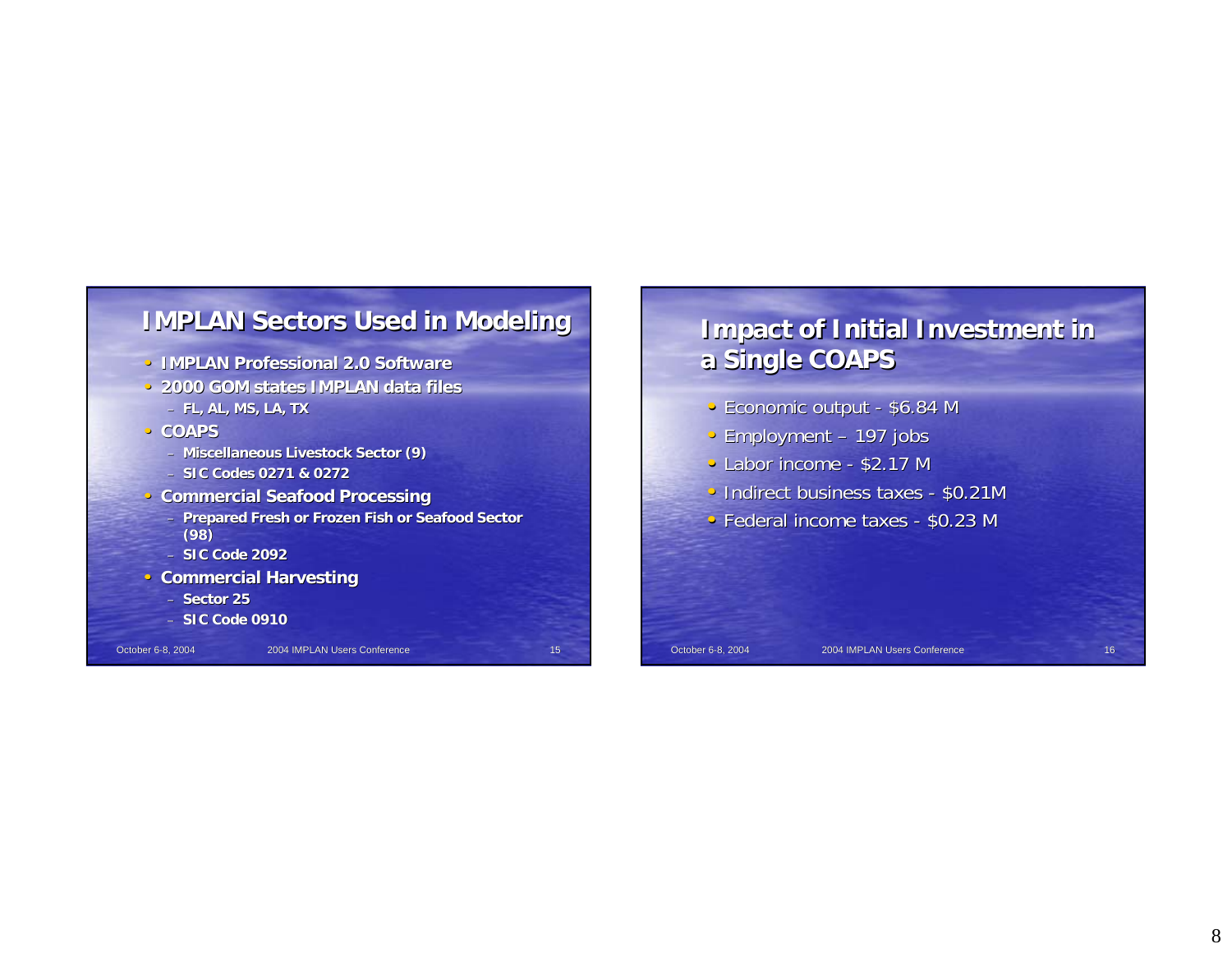

- **IMPLAN Professional 2.0 Software**
- **2000 GOM states IMPLAN data files** – **FL, AL, MS, LA, TX**

• **COAPS** 

– **Miscellaneous Livestock Sector (9)**

- **SIC Codes 0271 & 0272**
- **Commercial Seafood Processing**
	- **Prepared Fresh or Frozen Fish or Seafood Sector Prepared Fresh or Frozen Fish or Seafood Sector (98)**

– **SIC Code 2092**

**• Commercial Harvesting** 

– **Sector 25**

– **SIC Code 0910**

October 6-8, 2004 2004 IMPLAN Users Conference 15

# **Impact of Initial Investment in a Single COAPS a Single COAPS**

- Economic output \$6.84 M
- Employment 197 jobs
- Labor income  $$2.17$  M
- Indirect business taxes  $$0.21M$
- Federal income taxes  $$0.23$  M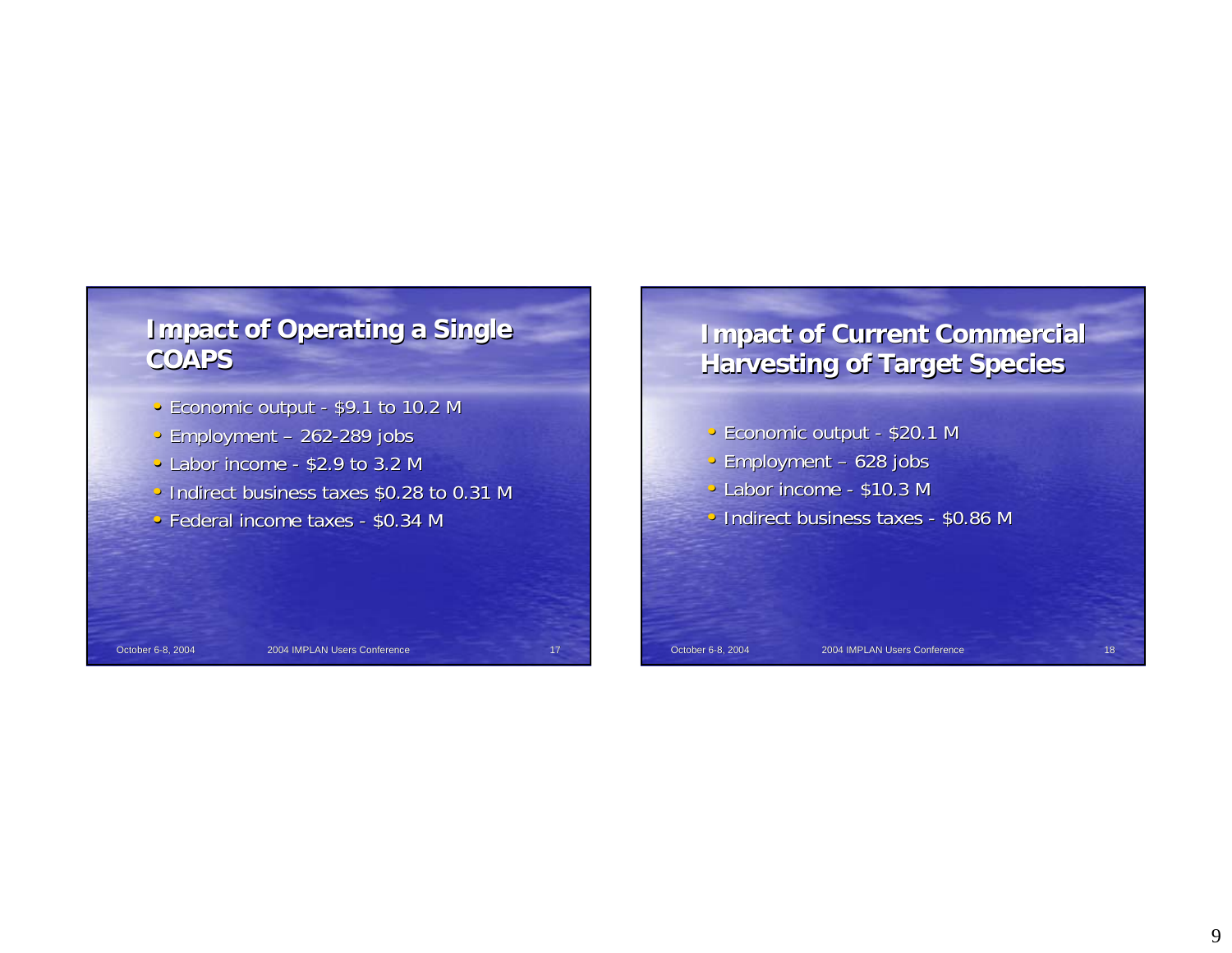# **Impact of Operating a Single COAPS**

- Economic output \$9.1 to 10.2 M
- Employment 262-289 jobs
- Labor income \$2.9 to 3.2 M
- Indirect business taxes \$0.28 to 0.31 M
- Federal income taxes  $$0.34$  M

# **Impact of Current Commercial Harvesting of Target Species Harvesting of Target Species**

- Economic output \$20.1 M
- Employment 628 jobs
- $\bullet$  Labor income \$10.3 M
- Indirect business taxes \$0.86 M

October 6-8, 2004 2004 1MPLAN Users Conference 17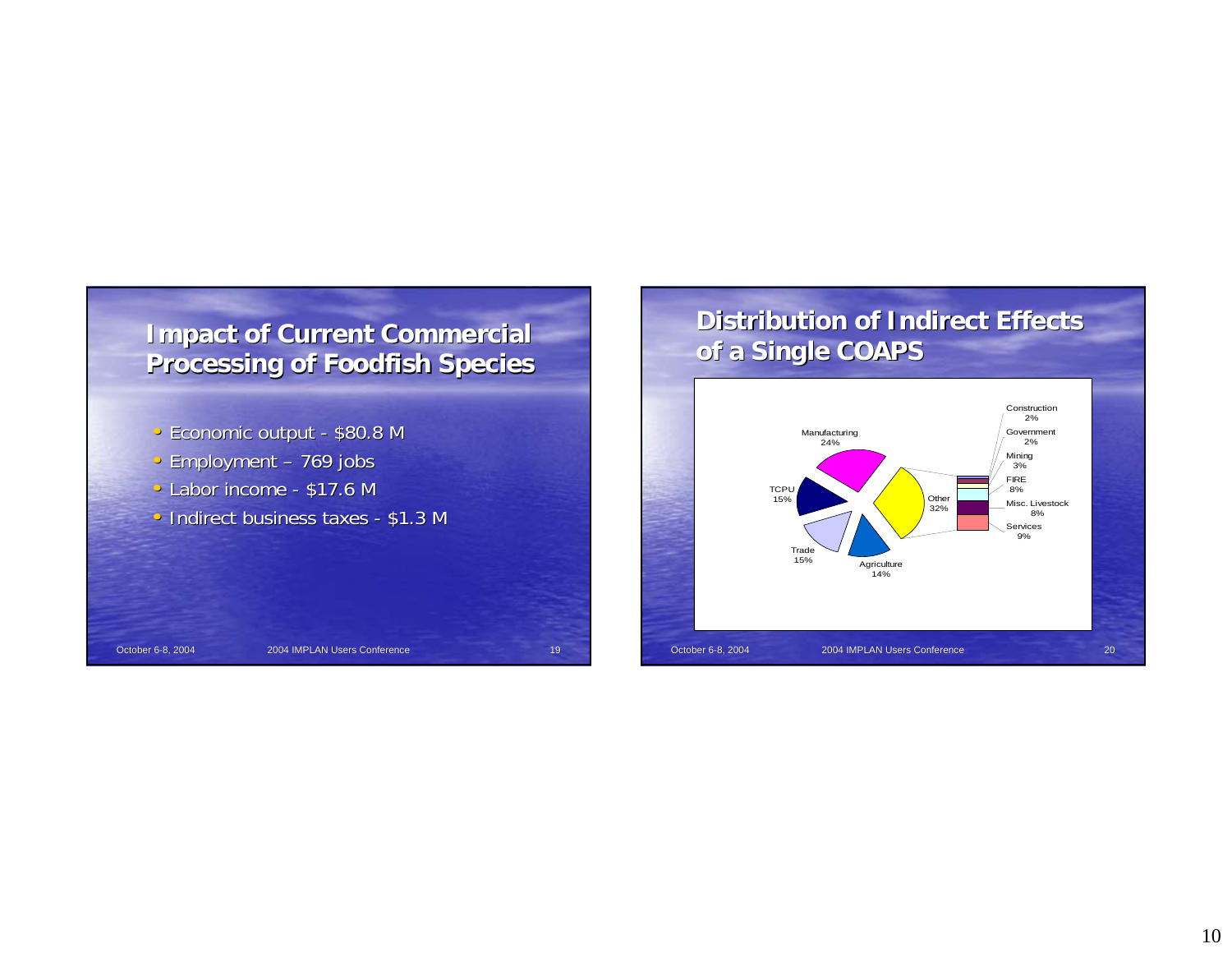

### **Distribution of Indirect Effects of a Single COAPS of a Single COAPS** Construction 2%Government 2%Mining 3% FIRE 8%Misc. Livestock 8%Services 9%Agriculture 14%Trade 15%**TCPU**  15%Manufacturing 24%**Other** 32%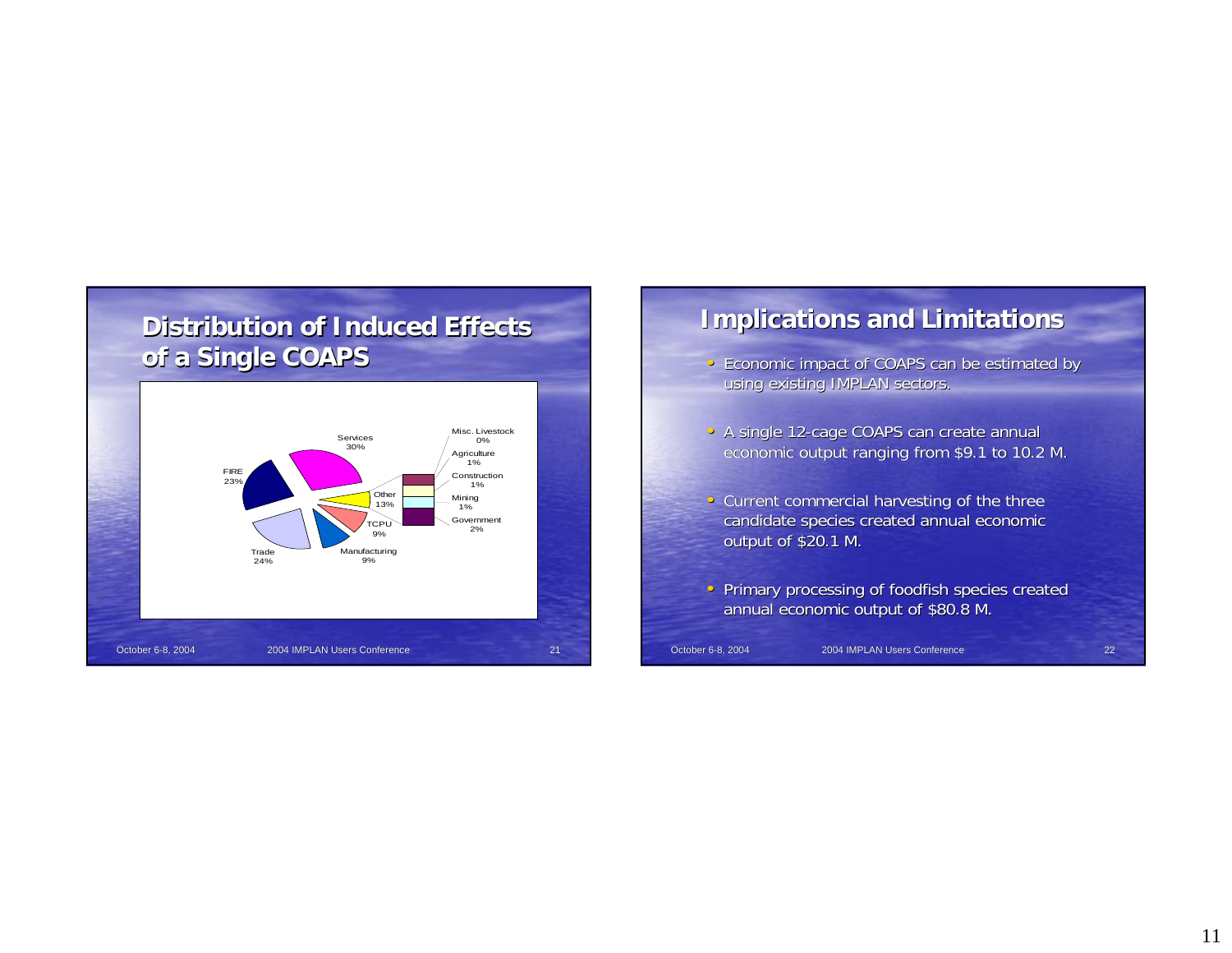